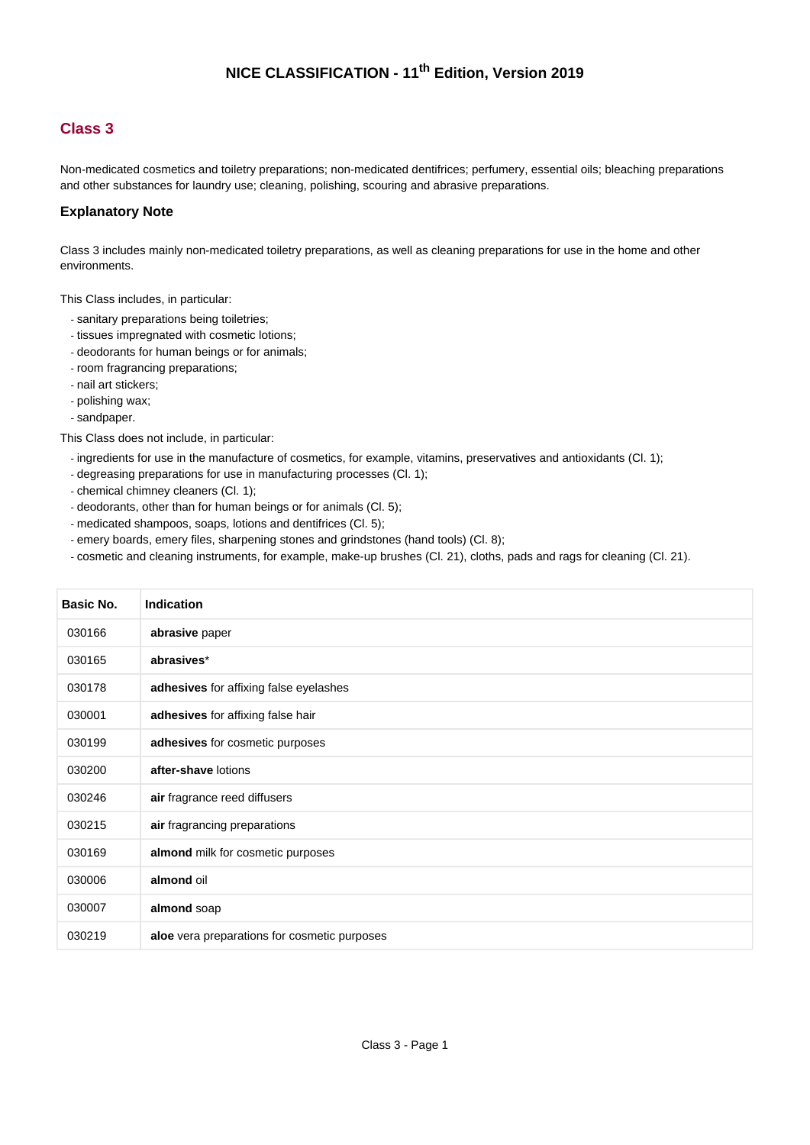#### **Class 3**

Non-medicated cosmetics and toiletry preparations; non-medicated dentifrices; perfumery, essential oils; bleaching preparations and other substances for laundry use; cleaning, polishing, scouring and abrasive preparations.

#### **Explanatory Note**

Class 3 includes mainly non-medicated toiletry preparations, as well as cleaning preparations for use in the home and other environments.

This Class includes, in particular:

- sanitary preparations being toiletries;
- tissues impregnated with cosmetic lotions;
- deodorants for human beings or for animals;
- room fragrancing preparations;
- nail art stickers;
- polishing wax;
- sandpaper.

This Class does not include, in particular:

- ingredients for use in the manufacture of cosmetics, for example, vitamins, preservatives and antioxidants (Cl. 1);
- degreasing preparations for use in manufacturing processes (Cl. 1);
- chemical chimney cleaners (Cl. 1);
- deodorants, other than for human beings or for animals (Cl. 5);
- medicated shampoos, soaps, lotions and dentifrices (Cl. 5);
- emery boards, emery files, sharpening stones and grindstones (hand tools) (Cl. 8);
- cosmetic and cleaning instruments, for example, make-up brushes (Cl. 21), cloths, pads and rags for cleaning (Cl. 21).

| Basic No. | <b>Indication</b>                            |
|-----------|----------------------------------------------|
| 030166    | abrasive paper                               |
| 030165    | abrasives*                                   |
| 030178    | adhesives for affixing false eyelashes       |
| 030001    | adhesives for affixing false hair            |
| 030199    | adhesives for cosmetic purposes              |
| 030200    | after-shave lotions                          |
| 030246    | air fragrance reed diffusers                 |
| 030215    | air fragrancing preparations                 |
| 030169    | almond milk for cosmetic purposes            |
| 030006    | almond oil                                   |
| 030007    | almond soap                                  |
| 030219    | aloe vera preparations for cosmetic purposes |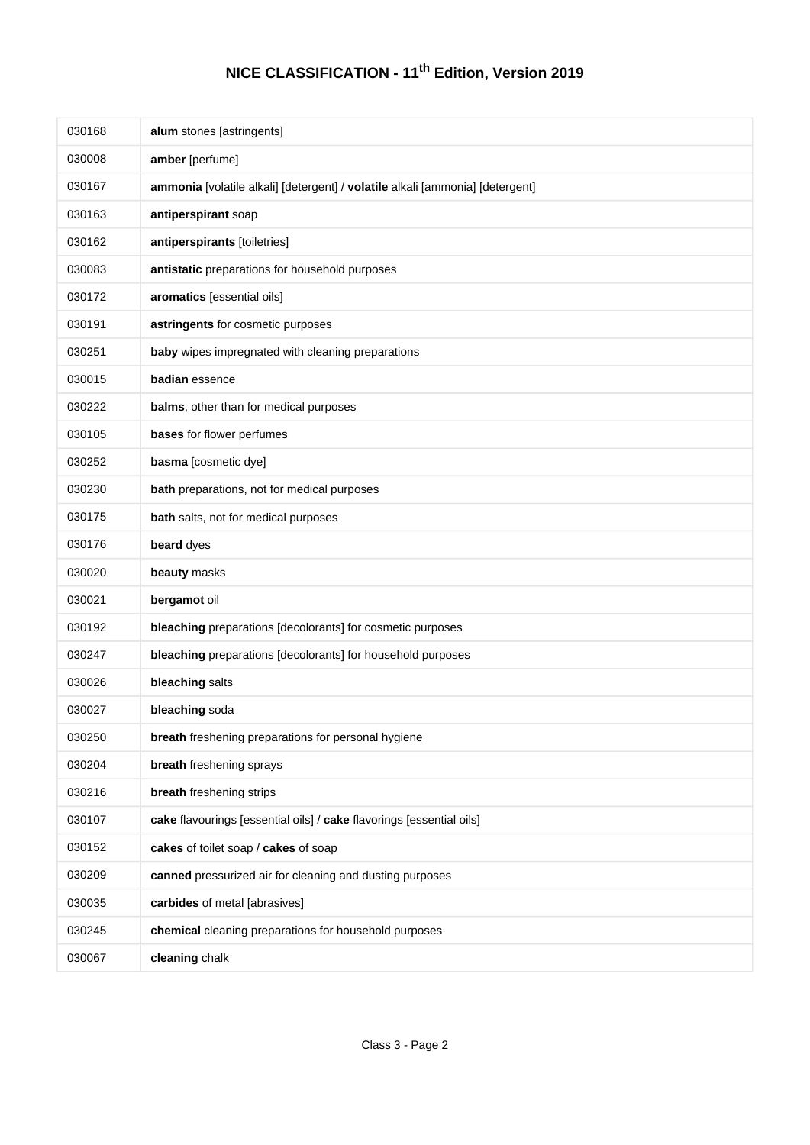| 030168 | alum stones [astringents]                                                     |
|--------|-------------------------------------------------------------------------------|
| 030008 | amber [perfume]                                                               |
| 030167 | ammonia [volatile alkali] [detergent] / volatile alkali [ammonia] [detergent] |
| 030163 | antiperspirant soap                                                           |
| 030162 | antiperspirants [toiletries]                                                  |
| 030083 | antistatic preparations for household purposes                                |
| 030172 | aromatics [essential oils]                                                    |
| 030191 | astringents for cosmetic purposes                                             |
| 030251 | baby wipes impregnated with cleaning preparations                             |
| 030015 | badian essence                                                                |
| 030222 | balms, other than for medical purposes                                        |
| 030105 | bases for flower perfumes                                                     |
| 030252 | basma [cosmetic dye]                                                          |
| 030230 | bath preparations, not for medical purposes                                   |
| 030175 | bath salts, not for medical purposes                                          |
| 030176 | beard dyes                                                                    |
| 030020 | beauty masks                                                                  |
| 030021 | bergamot oil                                                                  |
| 030192 | bleaching preparations [decolorants] for cosmetic purposes                    |
| 030247 | bleaching preparations [decolorants] for household purposes                   |
| 030026 | bleaching salts                                                               |
| 030027 | bleaching soda                                                                |
| 030250 | breath freshening preparations for personal hygiene                           |
| 030204 | breath freshening sprays                                                      |
| 030216 | breath freshening strips                                                      |
| 030107 | cake flavourings [essential oils] / cake flavorings [essential oils]          |
| 030152 | cakes of toilet soap / cakes of soap                                          |
| 030209 | canned pressurized air for cleaning and dusting purposes                      |
| 030035 | carbides of metal [abrasives]                                                 |
| 030245 | chemical cleaning preparations for household purposes                         |
| 030067 | cleaning chalk                                                                |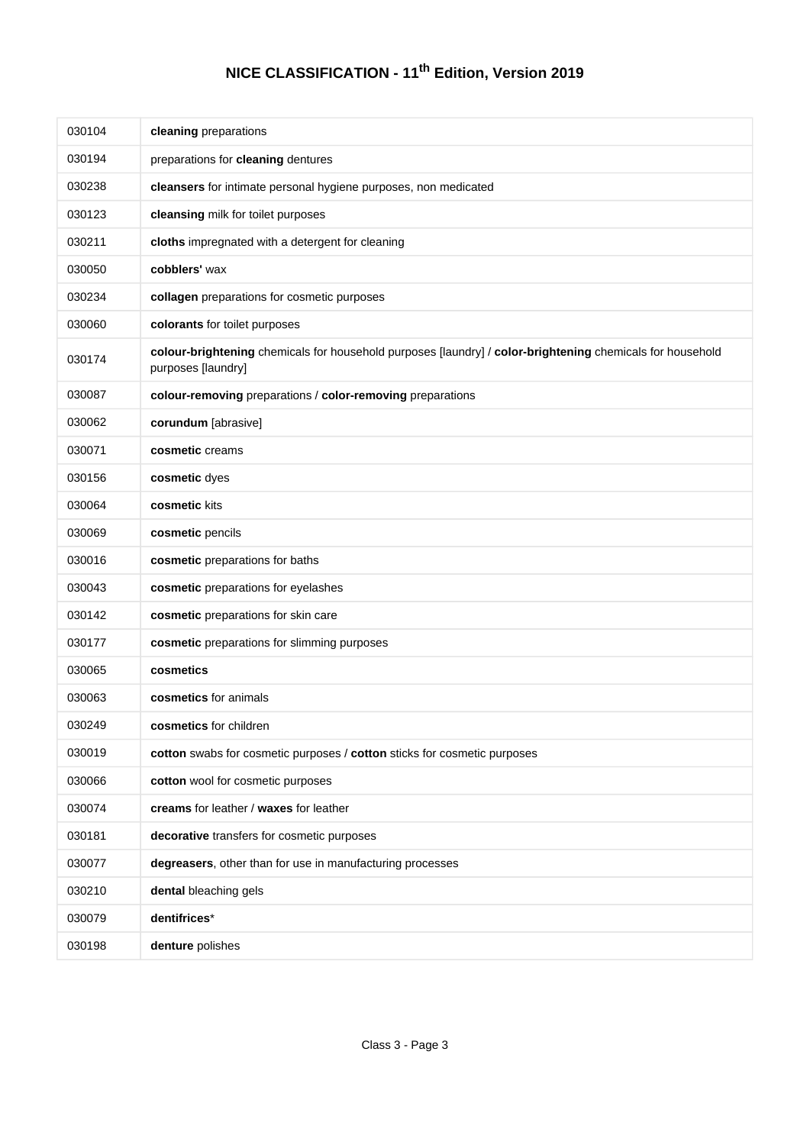| 030104 | cleaning preparations                                                                                                           |
|--------|---------------------------------------------------------------------------------------------------------------------------------|
| 030194 | preparations for cleaning dentures                                                                                              |
| 030238 | cleansers for intimate personal hygiene purposes, non medicated                                                                 |
| 030123 | cleansing milk for toilet purposes                                                                                              |
| 030211 | cloths impregnated with a detergent for cleaning                                                                                |
| 030050 | cobblers' wax                                                                                                                   |
| 030234 | collagen preparations for cosmetic purposes                                                                                     |
| 030060 | colorants for toilet purposes                                                                                                   |
| 030174 | colour-brightening chemicals for household purposes [laundry] / color-brightening chemicals for household<br>purposes [laundry] |
| 030087 | colour-removing preparations / color-removing preparations                                                                      |
| 030062 | corundum [abrasive]                                                                                                             |
| 030071 | cosmetic creams                                                                                                                 |
| 030156 | cosmetic dyes                                                                                                                   |
| 030064 | cosmetic kits                                                                                                                   |
| 030069 | cosmetic pencils                                                                                                                |
| 030016 | cosmetic preparations for baths                                                                                                 |
| 030043 | cosmetic preparations for eyelashes                                                                                             |
| 030142 | cosmetic preparations for skin care                                                                                             |
| 030177 | cosmetic preparations for slimming purposes                                                                                     |
| 030065 | cosmetics                                                                                                                       |
| 030063 | cosmetics for animals                                                                                                           |
| 030249 | <b>cosmetics</b> for children                                                                                                   |
| 030019 | cotton swabs for cosmetic purposes / cotton sticks for cosmetic purposes                                                        |
| 030066 | cotton wool for cosmetic purposes                                                                                               |
| 030074 | creams for leather / waxes for leather                                                                                          |
| 030181 | decorative transfers for cosmetic purposes                                                                                      |
| 030077 | degreasers, other than for use in manufacturing processes                                                                       |
| 030210 | dental bleaching gels                                                                                                           |
| 030079 | dentifrices*                                                                                                                    |
| 030198 | denture polishes                                                                                                                |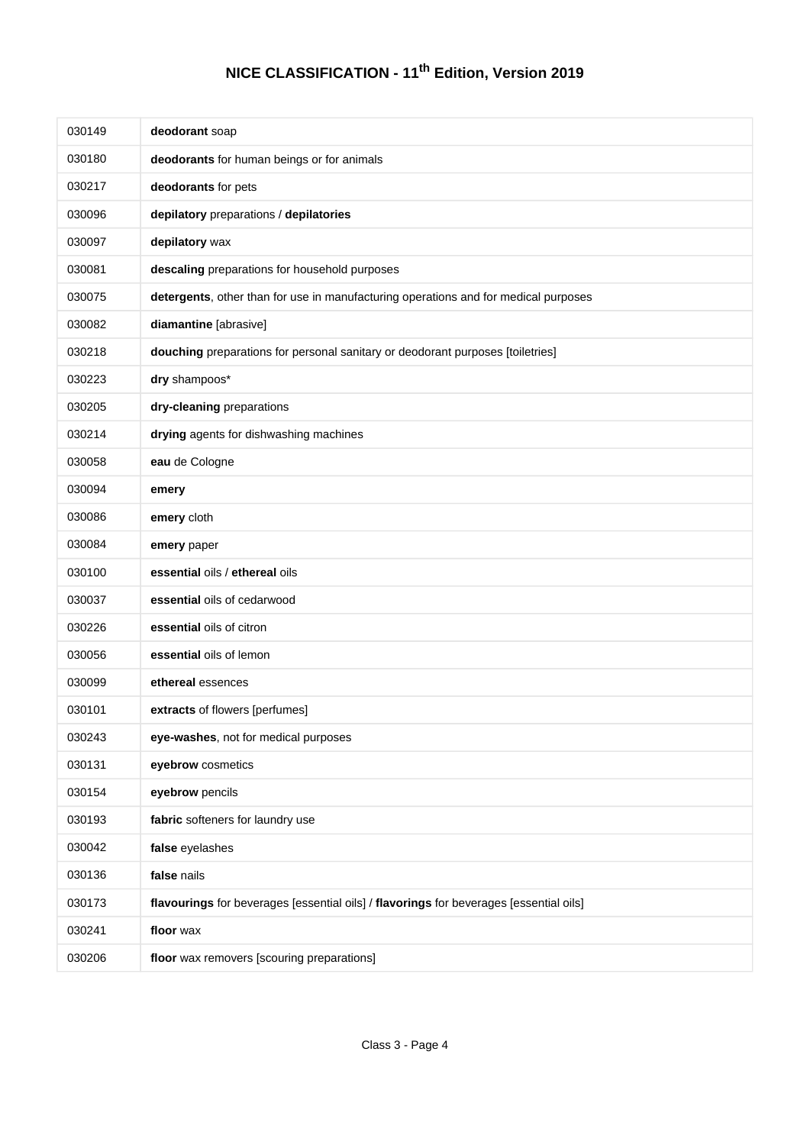| 030149 | deodorant soap                                                                         |
|--------|----------------------------------------------------------------------------------------|
| 030180 | deodorants for human beings or for animals                                             |
| 030217 | deodorants for pets                                                                    |
| 030096 | depilatory preparations / depilatories                                                 |
| 030097 | depilatory wax                                                                         |
| 030081 | descaling preparations for household purposes                                          |
| 030075 | detergents, other than for use in manufacturing operations and for medical purposes    |
| 030082 | diamantine [abrasive]                                                                  |
| 030218 | douching preparations for personal sanitary or deodorant purposes [toiletries]         |
| 030223 | dry shampoos*                                                                          |
| 030205 | dry-cleaning preparations                                                              |
| 030214 | drying agents for dishwashing machines                                                 |
| 030058 | eau de Cologne                                                                         |
| 030094 | emery                                                                                  |
| 030086 | emery cloth                                                                            |
| 030084 | emery paper                                                                            |
| 030100 | essential oils / ethereal oils                                                         |
| 030037 | essential oils of cedarwood                                                            |
| 030226 | essential oils of citron                                                               |
| 030056 | essential oils of lemon                                                                |
| 030099 | ethereal essences                                                                      |
| 030101 | extracts of flowers [perfumes]                                                         |
| 030243 | eye-washes, not for medical purposes                                                   |
| 030131 | eyebrow cosmetics                                                                      |
| 030154 | eyebrow pencils                                                                        |
| 030193 | fabric softeners for laundry use                                                       |
| 030042 | false eyelashes                                                                        |
| 030136 | false nails                                                                            |
| 030173 | flavourings for beverages [essential oils] / flavorings for beverages [essential oils] |
| 030241 | floor wax                                                                              |
| 030206 | floor wax removers [scouring preparations]                                             |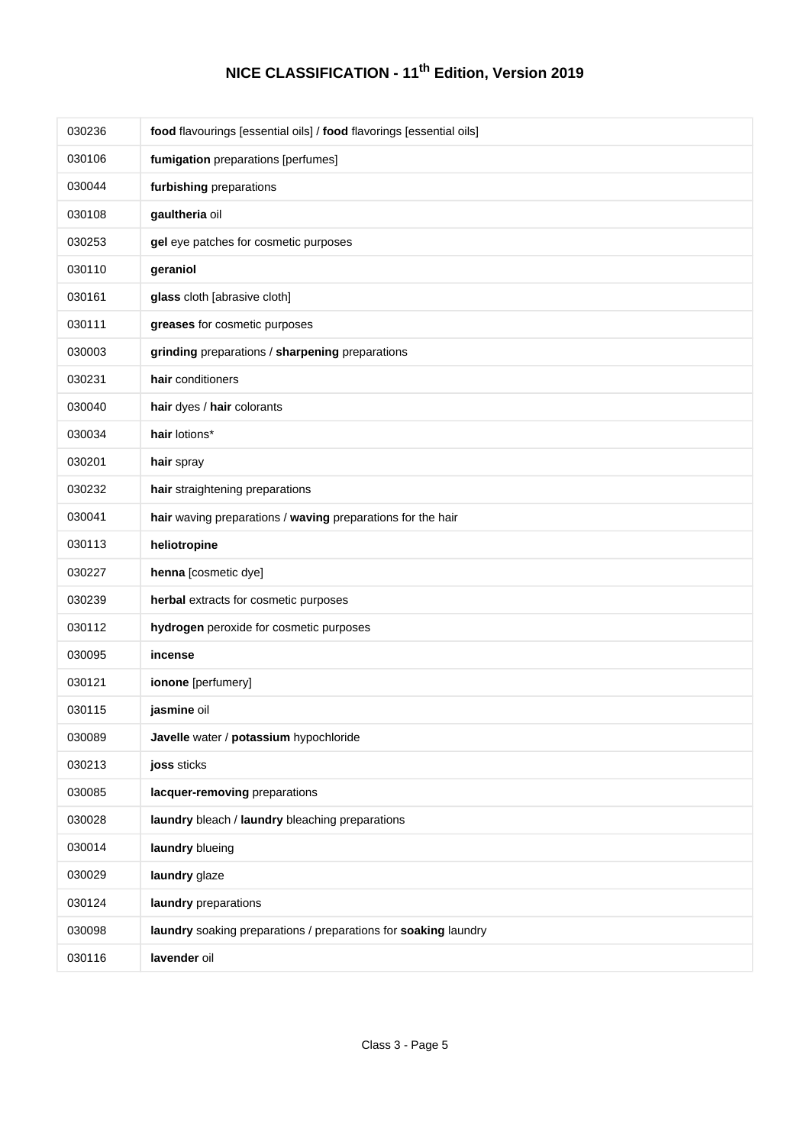| 030236 | food flavourings [essential oils] / food flavorings [essential oils] |
|--------|----------------------------------------------------------------------|
| 030106 | fumigation preparations [perfumes]                                   |
| 030044 | furbishing preparations                                              |
| 030108 | gaultheria oil                                                       |
| 030253 | gel eye patches for cosmetic purposes                                |
| 030110 | geraniol                                                             |
| 030161 | glass cloth [abrasive cloth]                                         |
| 030111 | greases for cosmetic purposes                                        |
| 030003 | grinding preparations / sharpening preparations                      |
| 030231 | hair conditioners                                                    |
| 030040 | hair dyes / hair colorants                                           |
| 030034 | hair lotions*                                                        |
| 030201 | hair spray                                                           |
| 030232 | hair straightening preparations                                      |
| 030041 | hair waving preparations / waving preparations for the hair          |
| 030113 | heliotropine                                                         |
| 030227 | henna [cosmetic dye]                                                 |
| 030239 | herbal extracts for cosmetic purposes                                |
| 030112 | hydrogen peroxide for cosmetic purposes                              |
| 030095 | incense                                                              |
| 030121 | ionone [perfumery]                                                   |
| 030115 | jasmine oil                                                          |
| 030089 | Javelle water / potassium hypochloride                               |
| 030213 | joss sticks                                                          |
| 030085 | lacquer-removing preparations                                        |
| 030028 | laundry bleach / laundry bleaching preparations                      |
| 030014 | laundry blueing                                                      |
| 030029 | laundry glaze                                                        |
| 030124 | laundry preparations                                                 |
| 030098 | laundry soaking preparations / preparations for soaking laundry      |
| 030116 | lavender oil                                                         |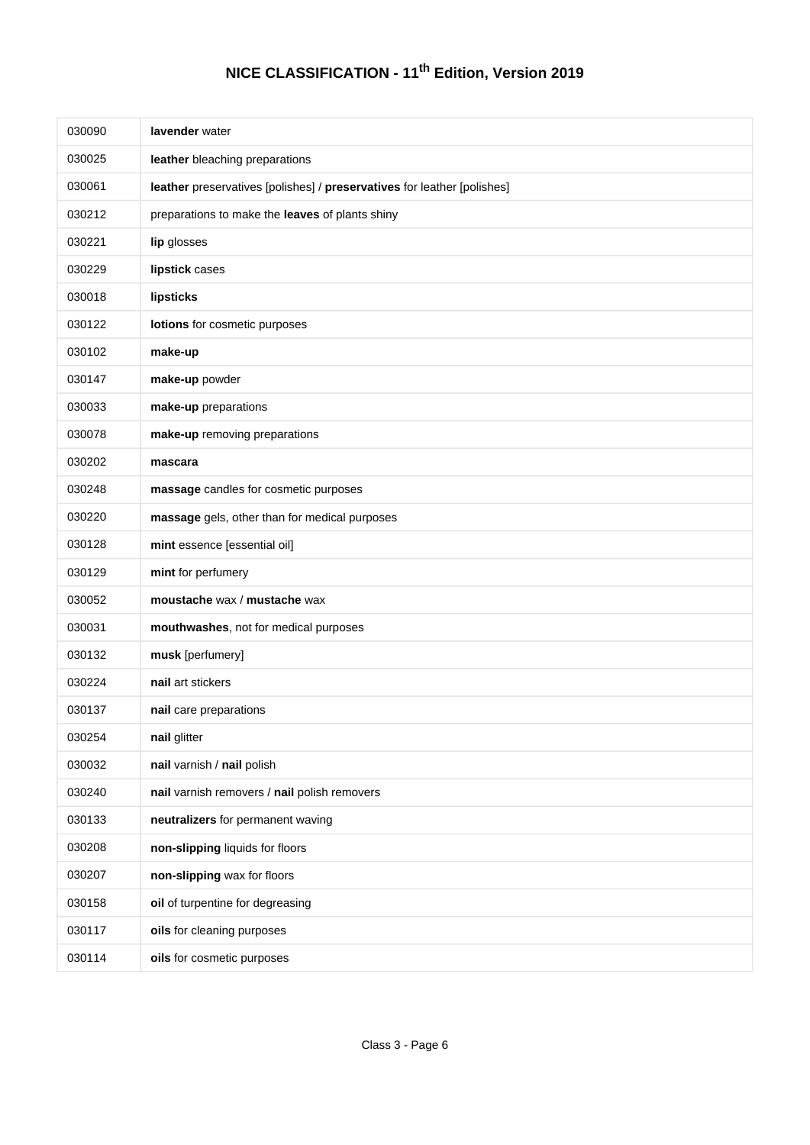| 030090 | lavender water                                                          |
|--------|-------------------------------------------------------------------------|
| 030025 | leather bleaching preparations                                          |
| 030061 | leather preservatives [polishes] / preservatives for leather [polishes] |
| 030212 | preparations to make the leaves of plants shiny                         |
| 030221 | lip glosses                                                             |
| 030229 | lipstick cases                                                          |
| 030018 | lipsticks                                                               |
| 030122 | lotions for cosmetic purposes                                           |
| 030102 | make-up                                                                 |
| 030147 | make-up powder                                                          |
| 030033 | make-up preparations                                                    |
| 030078 | make-up removing preparations                                           |
| 030202 | mascara                                                                 |
| 030248 | massage candles for cosmetic purposes                                   |
| 030220 | massage gels, other than for medical purposes                           |
| 030128 | mint essence [essential oil]                                            |
| 030129 | mint for perfumery                                                      |
| 030052 | moustache wax / mustache wax                                            |
| 030031 | mouthwashes, not for medical purposes                                   |
| 030132 | musk [perfumery]                                                        |
| 030224 | nail art stickers                                                       |
| 030137 | nail care preparations                                                  |
| 030254 | nail glitter                                                            |
| 030032 | nail varnish / nail polish                                              |
| 030240 | nail varnish removers / nail polish removers                            |
| 030133 | neutralizers for permanent waving                                       |
| 030208 | non-slipping liquids for floors                                         |
| 030207 | non-slipping wax for floors                                             |
| 030158 | oil of turpentine for degreasing                                        |
| 030117 | oils for cleaning purposes                                              |
| 030114 | oils for cosmetic purposes                                              |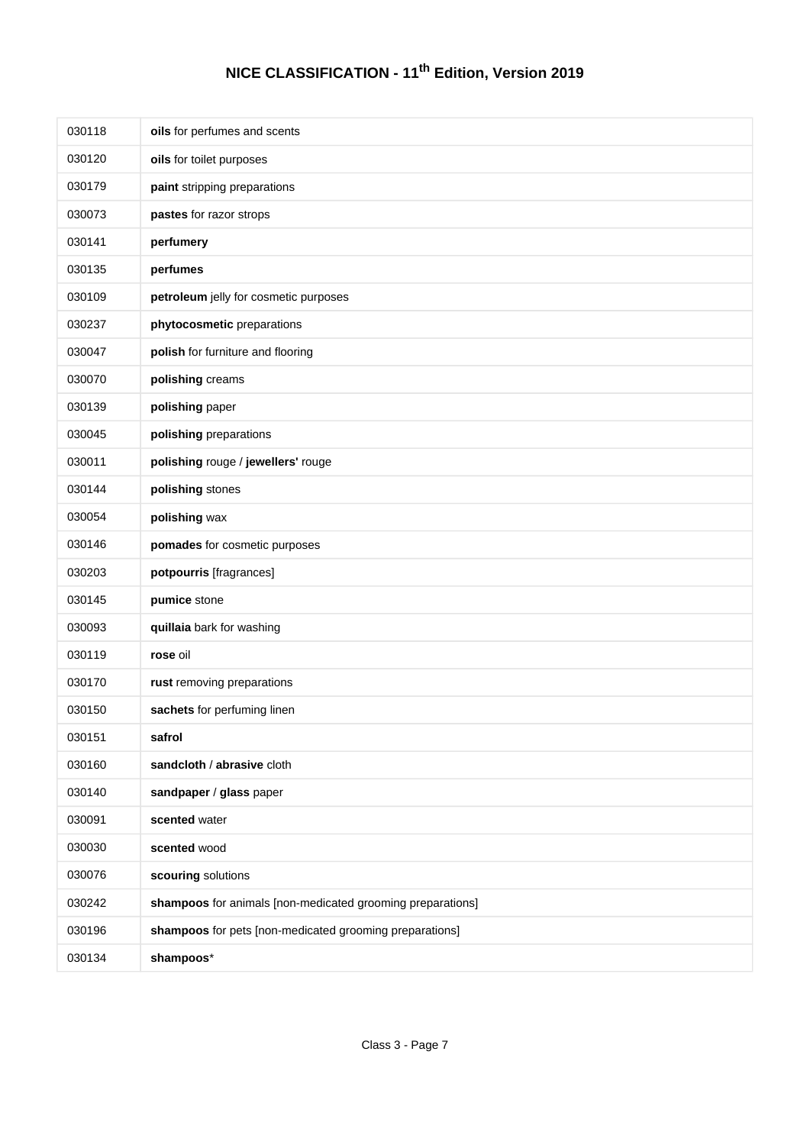| 030118 | oils for perfumes and scents                               |
|--------|------------------------------------------------------------|
| 030120 | oils for toilet purposes                                   |
| 030179 | paint stripping preparations                               |
| 030073 | pastes for razor strops                                    |
| 030141 | perfumery                                                  |
| 030135 | perfumes                                                   |
| 030109 | petroleum jelly for cosmetic purposes                      |
| 030237 | phytocosmetic preparations                                 |
| 030047 | polish for furniture and flooring                          |
| 030070 | polishing creams                                           |
| 030139 | polishing paper                                            |
| 030045 | polishing preparations                                     |
| 030011 | polishing rouge / jewellers' rouge                         |
| 030144 | polishing stones                                           |
| 030054 | polishing wax                                              |
| 030146 | pomades for cosmetic purposes                              |
| 030203 | potpourris [fragrances]                                    |
| 030145 | pumice stone                                               |
| 030093 | quillaia bark for washing                                  |
| 030119 | rose oil                                                   |
| 030170 | rust removing preparations                                 |
| 030150 | sachets for perfuming linen                                |
| 030151 | safrol                                                     |
| 030160 | sandcloth / abrasive cloth                                 |
| 030140 | sandpaper / glass paper                                    |
| 030091 | scented water                                              |
| 030030 | scented wood                                               |
| 030076 | scouring solutions                                         |
| 030242 | shampoos for animals [non-medicated grooming preparations] |
| 030196 | shampoos for pets [non-medicated grooming preparations]    |
| 030134 | shampoos*                                                  |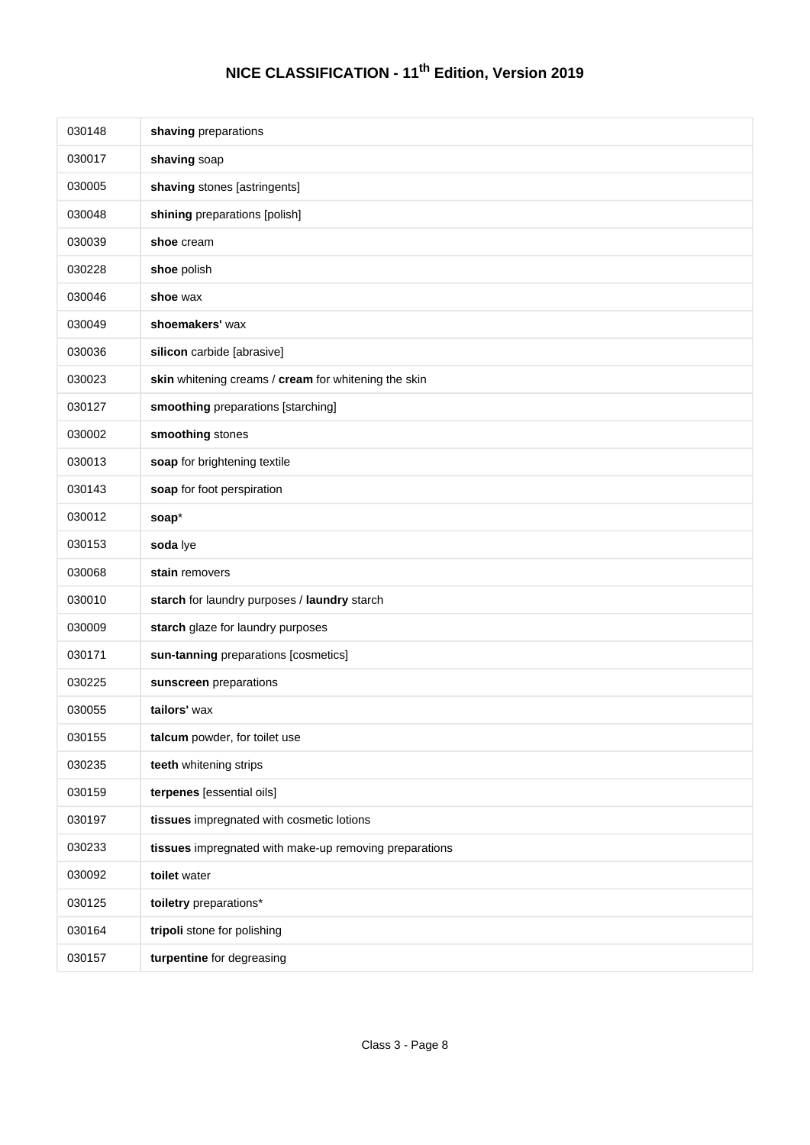| 030148 | shaving preparations                                   |
|--------|--------------------------------------------------------|
| 030017 | shaving soap                                           |
| 030005 | shaving stones [astringents]                           |
| 030048 | shining preparations [polish]                          |
| 030039 | shoe cream                                             |
| 030228 | shoe polish                                            |
| 030046 | shoe wax                                               |
| 030049 | shoemakers' wax                                        |
| 030036 | silicon carbide [abrasive]                             |
| 030023 | skin whitening creams / cream for whitening the skin   |
| 030127 | smoothing preparations [starching]                     |
| 030002 | smoothing stones                                       |
| 030013 | soap for brightening textile                           |
| 030143 | soap for foot perspiration                             |
| 030012 | soap*                                                  |
| 030153 | soda lye                                               |
| 030068 | stain removers                                         |
| 030010 | starch for laundry purposes / laundry starch           |
| 030009 | starch glaze for laundry purposes                      |
| 030171 | sun-tanning preparations [cosmetics]                   |
| 030225 | sunscreen preparations                                 |
| 030055 | tailors' wax                                           |
| 030155 | talcum powder, for toilet use                          |
| 030235 | teeth whitening strips                                 |
| 030159 | terpenes [essential oils]                              |
| 030197 | tissues impregnated with cosmetic lotions              |
| 030233 | tissues impregnated with make-up removing preparations |
| 030092 | toilet water                                           |
| 030125 | toiletry preparations*                                 |
| 030164 | tripoli stone for polishing                            |
| 030157 | turpentine for degreasing                              |